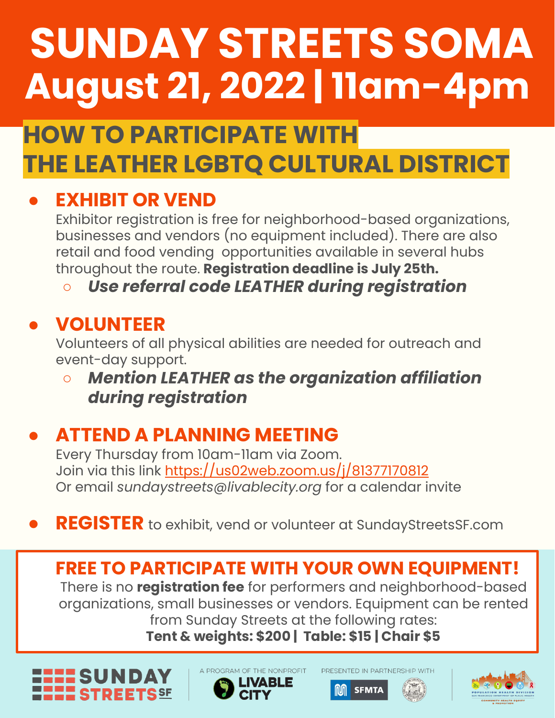# **SUNDAY STREETS SOMA August 21, 2022 | 11am-4pm**

## **HOW TO PARTICIPATE WITH THE LEATHER LGBTQ CULTURAL DISTRICT**

## **EXHIBIT OR VEND**

Exhibitor registration is free for neighborhood-based organizations, businesses and vendors (no equipment included). There are also retail and food vending opportunities available in several hubs throughout the route. **Registration deadline is July 25th.**

○ *Use referral code LEATHER during registration*

#### **● VOLUNTEER**

Volunteers of all physical abilities are needed for outreach and event-day support.

**○** *Mention LEATHER as the organization affiliation during registration*

#### ● **ATTEND A PLANNING MEETING**

Every Thursday from 10am-11am via Zoom. Join via this link <https://us02web.zoom.us/j/81377170812> Or email *sundaystreets@livablecity.org* for a calendar invite

● **REGISTER** to exhibit, vend or volunteer at SundayStreetsSF.com

#### **FREE TO PARTICIPATE WITH YOUR OWN EQUIPMENT!**

There is no **registration fee** for performers and neighborhood-based organizations, small businesses or vendors. Equipment can be rented from Sunday Streets at the following rates: **Tent & weights: \$200 | Table: \$15 | Chair \$5**